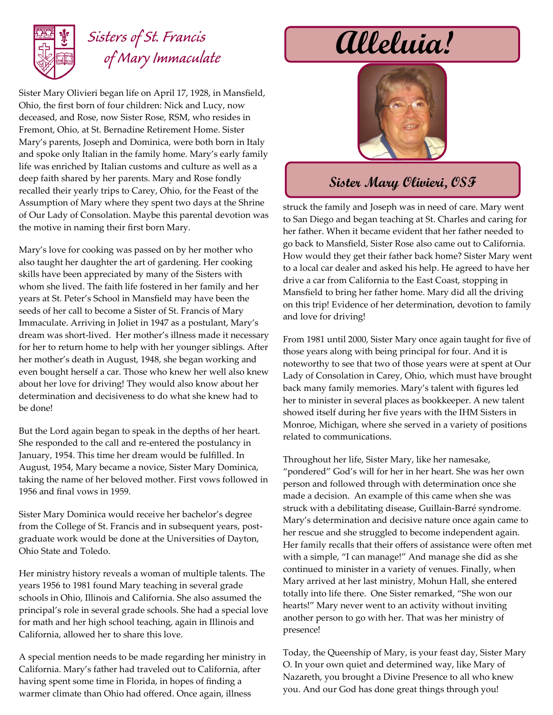

## *Sisters of St. Francis of Mary Immaculate*

Sister Mary Olivieri began life on April 17, 1928, in Mansfield, Ohio, the first born of four children: Nick and Lucy, now deceased, and Rose, now Sister Rose, RSM, who resides in Fremont, Ohio, at St. Bernadine Retirement Home. Sister Mary's parents, Joseph and Dominica, were both born in Italy and spoke only Italian in the family home. Mary's early family life was enriched by Italian customs and culture as well as a deep faith shared by her parents. Mary and Rose fondly recalled their yearly trips to Carey, Ohio, for the Feast of the Assumption of Mary where they spent two days at the Shrine of Our Lady of Consolation. Maybe this parental devotion was the motive in naming their first born Mary.

Mary's love for cooking was passed on by her mother who also taught her daughter the art of gardening. Her cooking skills have been appreciated by many of the Sisters with whom she lived. The faith life fostered in her family and her years at St. Peter's School in Mansfield may have been the seeds of her call to become a Sister of St. Francis of Mary Immaculate. Arriving in Joliet in 1947 as a postulant, Mary's dream was short-lived. Her mother's illness made it necessary for her to return home to help with her younger siblings. After her mother's death in August, 1948, she began working and even bought herself a car. Those who knew her well also knew about her love for driving! They would also know about her determination and decisiveness to do what she knew had to be done!

But the Lord again began to speak in the depths of her heart. She responded to the call and re-entered the postulancy in January, 1954. This time her dream would be fulfilled. In August, 1954, Mary became a novice, Sister Mary Dominica, taking the name of her beloved mother. First vows followed in 1956 and final vows in 1959.

Sister Mary Dominica would receive her bachelor's degree from the College of St. Francis and in subsequent years, postgraduate work would be done at the Universities of Dayton, Ohio State and Toledo.

Her ministry history reveals a woman of multiple talents. The years 1956 to 1981 found Mary teaching in several grade schools in Ohio, Illinois and California. She also assumed the principal's role in several grade schools. She had a special love for math and her high school teaching, again in Illinois and California, allowed her to share this love.

A special mention needs to be made regarding her ministry in California. Mary's father had traveled out to California, after having spent some time in Florida, in hopes of finding a warmer climate than Ohio had offered. Once again, illness

**Alleluia!**



## **Sister Mary Olivieri, OSF**

struck the family and Joseph was in need of care. Mary went to San Diego and began teaching at St. Charles and caring for her father. When it became evident that her father needed to go back to Mansfield, Sister Rose also came out to California. How would they get their father back home? Sister Mary went to a local car dealer and asked his help. He agreed to have her drive a car from California to the East Coast, stopping in Mansfield to bring her father home. Mary did all the driving on this trip! Evidence of her determination, devotion to family and love for driving!

From 1981 until 2000, Sister Mary once again taught for five of those years along with being principal for four. And it is noteworthy to see that two of those years were at spent at Our Lady of Consolation in Carey, Ohio, which must have brought back many family memories. Mary's talent with figures led her to minister in several places as bookkeeper. A new talent showed itself during her five years with the IHM Sisters in Monroe, Michigan, where she served in a variety of positions related to communications.

Throughout her life, Sister Mary, like her namesake, "pondered" God's will for her in her heart. She was her own person and followed through with determination once she made a decision. An example of this came when she was struck with a debilitating disease, Guillain-Barré syndrome. Mary's determination and decisive nature once again came to her rescue and she struggled to become independent again. Her family recalls that their offers of assistance were often met with a simple, "I can manage!" And manage she did as she continued to minister in a variety of venues. Finally, when Mary arrived at her last ministry, Mohun Hall, she entered totally into life there. One Sister remarked, "She won our hearts!" Mary never went to an activity without inviting another person to go with her. That was her ministry of presence!

Today, the Queenship of Mary, is your feast day, Sister Mary O. In your own quiet and determined way, like Mary of Nazareth, you brought a Divine Presence to all who knew you. And our God has done great things through you!